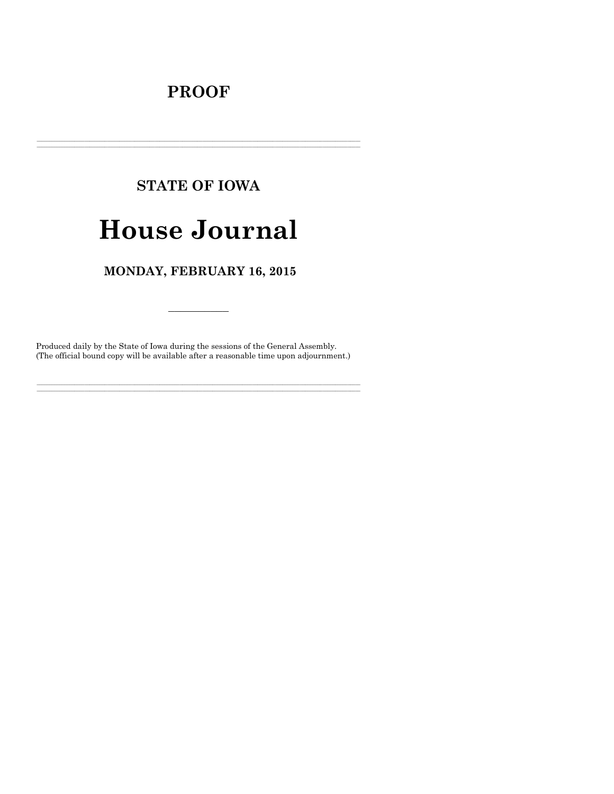## **PROOF**

# **STATE OF IOWA**

# **House Journal**

## MONDAY, FEBRUARY 16, 2015

Produced daily by the State of Iowa during the sessions of the General Assembly. (The official bound copy will be available after a reasonable time upon adjournment.)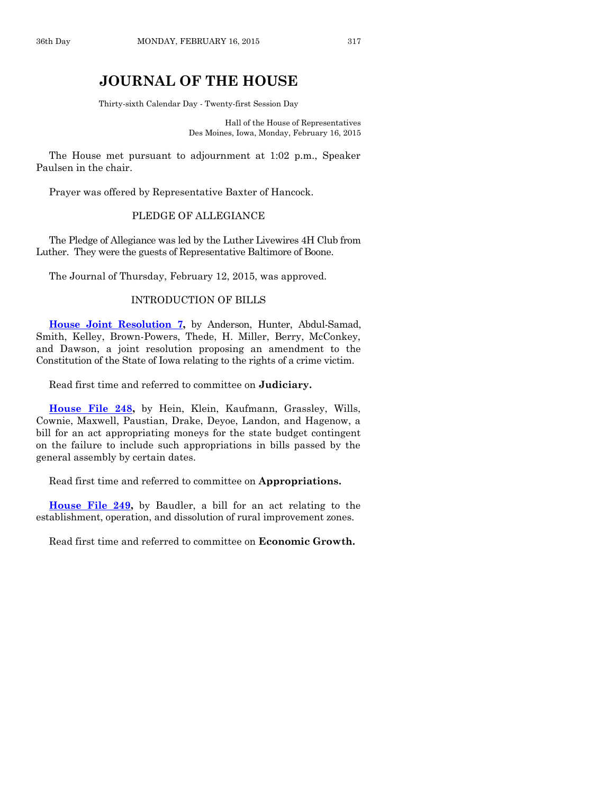### **JOURNAL OF THE HOUSE**

Thirty-sixth Calendar Day - Twenty-first Session Day

Hall of the House of Representatives Des Moines, Iowa, Monday, February 16, 2015

The House met pursuant to adjournment at 1:02 p.m., Speaker Paulsen in the chair.

Prayer was offered by Representative Baxter of Hancock.

#### PLEDGE OF ALLEGIANCE

The Pledge of Allegiance was led by the Luther Livewires 4H Club from Luther. They were the guests of Representative Baltimore of Boone.

The Journal of Thursday, February 12, 2015, was approved.

#### INTRODUCTION OF BILLS

**[House Joint Resolution 7,](http://coolice.legis.iowa.gov/Cool-ICE/default.asp?Category=billinfo&Service=Billbook&frame=1&GA=86&hbill=HJR7)** by Anderson, Hunter, Abdul-Samad, Smith, Kelley, Brown-Powers, Thede, H. Miller, Berry, McConkey, and Dawson, a joint resolution proposing an amendment to the Constitution of the State of Iowa relating to the rights of a crime victim.

Read first time and referred to committee on **Judiciary.**

**[House File 248,](http://coolice.legis.iowa.gov/Cool-ICE/default.asp?Category=billinfo&Service=Billbook&frame=1&GA=86&hbill=HF248)** by Hein, Klein, Kaufmann, Grassley, Wills, Cownie, Maxwell, Paustian, Drake, Deyoe, Landon, and Hagenow, a bill for an act appropriating moneys for the state budget contingent on the failure to include such appropriations in bills passed by the general assembly by certain dates.

Read first time and referred to committee on **Appropriations.**

**[House File 249,](http://coolice.legis.iowa.gov/Cool-ICE/default.asp?Category=billinfo&Service=Billbook&frame=1&GA=86&hbill=HF249)** by Baudler, a bill for an act relating to the establishment, operation, and dissolution of rural improvement zones.

Read first time and referred to committee on **Economic Growth.**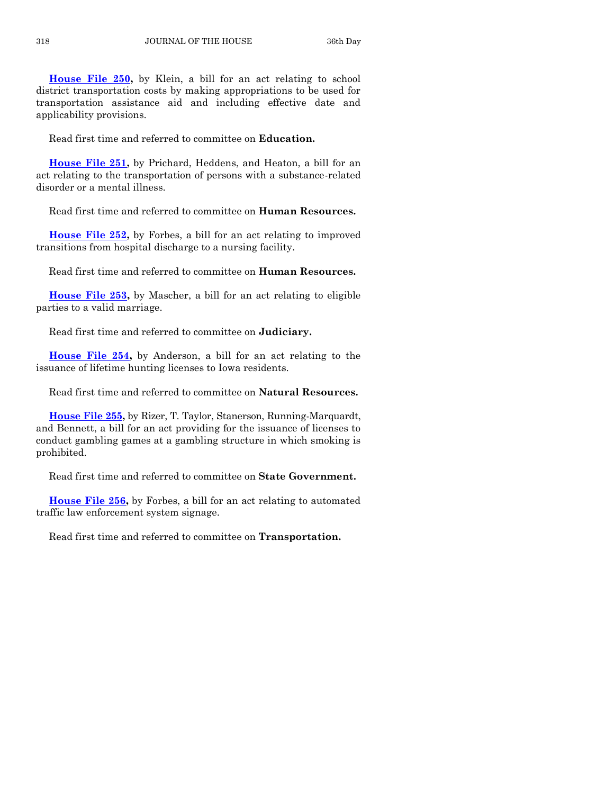**[House File 250,](http://coolice.legis.iowa.gov/Cool-ICE/default.asp?Category=billinfo&Service=Billbook&frame=1&GA=86&hbill=HF250)** by Klein, a bill for an act relating to school district transportation costs by making appropriations to be used for transportation assistance aid and including effective date and applicability provisions.

Read first time and referred to committee on **Education.**

**[House File 251,](http://coolice.legis.iowa.gov/Cool-ICE/default.asp?Category=billinfo&Service=Billbook&frame=1&GA=86&hbill=HF251)** by Prichard, Heddens, and Heaton, a bill for an act relating to the transportation of persons with a substance-related disorder or a mental illness.

Read first time and referred to committee on **Human Resources.**

**[House File 252,](http://coolice.legis.iowa.gov/Cool-ICE/default.asp?Category=billinfo&Service=Billbook&frame=1&GA=86&hbill=HF252)** by Forbes, a bill for an act relating to improved transitions from hospital discharge to a nursing facility.

Read first time and referred to committee on **Human Resources.**

**[House File 253,](http://coolice.legis.iowa.gov/Cool-ICE/default.asp?Category=billinfo&Service=Billbook&frame=1&GA=86&hbill=HF253)** by Mascher, a bill for an act relating to eligible parties to a valid marriage.

Read first time and referred to committee on **Judiciary.**

**[House File 254,](http://coolice.legis.iowa.gov/Cool-ICE/default.asp?Category=billinfo&Service=Billbook&frame=1&GA=86&hbill=HF254)** by Anderson, a bill for an act relating to the issuance of lifetime hunting licenses to Iowa residents.

Read first time and referred to committee on **Natural Resources.**

**[House File 255,](http://coolice.legis.iowa.gov/Cool-ICE/default.asp?Category=billinfo&Service=Billbook&frame=1&GA=86&hbill=HF255)** by Rizer, T. Taylor, Stanerson, Running-Marquardt, and Bennett, a bill for an act providing for the issuance of licenses to conduct gambling games at a gambling structure in which smoking is prohibited.

Read first time and referred to committee on **State Government.**

**[House File 256,](http://coolice.legis.iowa.gov/Cool-ICE/default.asp?Category=billinfo&Service=Billbook&frame=1&GA=86&hbill=HF256)** by Forbes, a bill for an act relating to automated traffic law enforcement system signage.

Read first time and referred to committee on **Transportation.**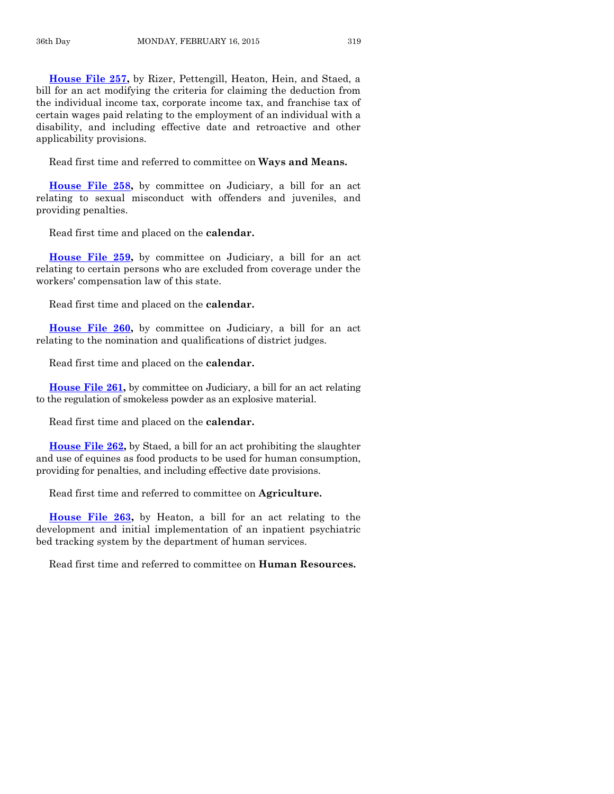**[House File 257,](http://coolice.legis.iowa.gov/Cool-ICE/default.asp?Category=billinfo&Service=Billbook&frame=1&GA=86&hbill=HF257)** by Rizer, Pettengill, Heaton, Hein, and Staed, a bill for an act modifying the criteria for claiming the deduction from the individual income tax, corporate income tax, and franchise tax of certain wages paid relating to the employment of an individual with a disability, and including effective date and retroactive and other applicability provisions.

Read first time and referred to committee on **Ways and Means.**

**[House File 258,](http://coolice.legis.iowa.gov/Cool-ICE/default.asp?Category=billinfo&Service=Billbook&frame=1&GA=86&hbill=HF258)** by committee on Judiciary, a bill for an act relating to sexual misconduct with offenders and juveniles, and providing penalties.

Read first time and placed on the **calendar.**

**[House File 259,](http://coolice.legis.iowa.gov/Cool-ICE/default.asp?Category=billinfo&Service=Billbook&frame=1&GA=86&hbill=HF259)** by committee on Judiciary, a bill for an act relating to certain persons who are excluded from coverage under the workers' compensation law of this state.

Read first time and placed on the **calendar.**

**[House File 260,](http://coolice.legis.iowa.gov/Cool-ICE/default.asp?Category=billinfo&Service=Billbook&frame=1&GA=86&hbill=HF260)** by committee on Judiciary, a bill for an act relating to the nomination and qualifications of district judges.

Read first time and placed on the **calendar.**

**[House File 261,](http://coolice.legis.iowa.gov/Cool-ICE/default.asp?Category=billinfo&Service=Billbook&frame=1&GA=86&hbill=HF261)** by committee on Judiciary, a bill for an act relating to the regulation of smokeless powder as an explosive material.

Read first time and placed on the **calendar.**

**[House File 262,](http://coolice.legis.iowa.gov/Cool-ICE/default.asp?Category=billinfo&Service=Billbook&frame=1&GA=86&hbill=HF262)** by Staed, a bill for an act prohibiting the slaughter and use of equines as food products to be used for human consumption, providing for penalties, and including effective date provisions.

Read first time and referred to committee on **Agriculture.**

**[House File 263,](http://coolice.legis.iowa.gov/Cool-ICE/default.asp?Category=billinfo&Service=Billbook&frame=1&GA=86&hbill=HF263)** by Heaton, a bill for an act relating to the development and initial implementation of an inpatient psychiatric bed tracking system by the department of human services.

Read first time and referred to committee on **Human Resources.**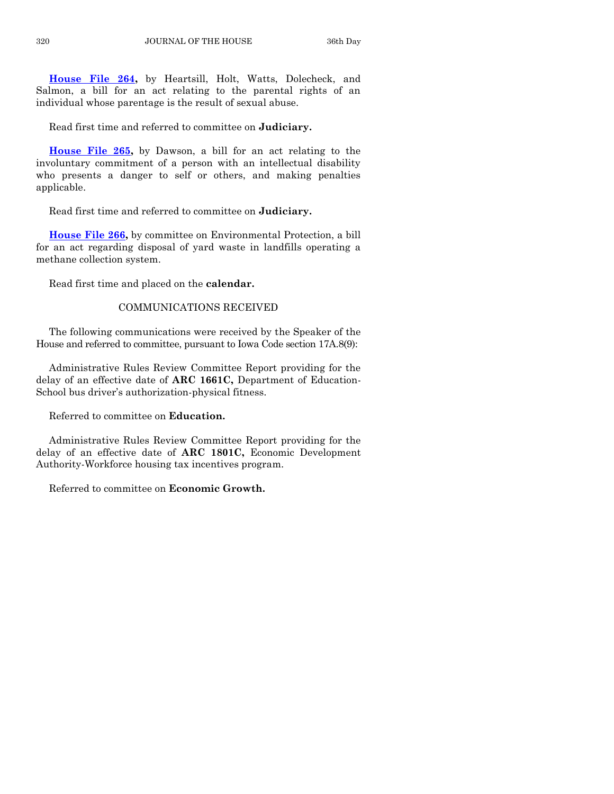**[House File 264,](http://coolice.legis.iowa.gov/Cool-ICE/default.asp?Category=billinfo&Service=Billbook&frame=1&GA=86&hbill=HF264)** by Heartsill, Holt, Watts, Dolecheck, and Salmon, a bill for an act relating to the parental rights of an individual whose parentage is the result of sexual abuse.

Read first time and referred to committee on **Judiciary.**

**[House File 265,](http://coolice.legis.iowa.gov/Cool-ICE/default.asp?Category=billinfo&Service=Billbook&frame=1&GA=86&hbill=HF265)** by Dawson, a bill for an act relating to the involuntary commitment of a person with an intellectual disability who presents a danger to self or others, and making penalties applicable.

Read first time and referred to committee on **Judiciary.**

**[House File 266,](http://coolice.legis.iowa.gov/Cool-ICE/default.asp?Category=billinfo&Service=Billbook&frame=1&GA=86&hbill=HF266)** by committee on Environmental Protection, a bill for an act regarding disposal of yard waste in landfills operating a methane collection system.

Read first time and placed on the **calendar.**

#### COMMUNICATIONS RECEIVED

The following communications were received by the Speaker of the House and referred to committee, pursuant to Iowa Code section 17A.8(9):

Administrative Rules Review Committee Report providing for the delay of an effective date of **ARC 1661C,** Department of Education-School bus driver's authorization-physical fitness.

Referred to committee on **Education.**

Administrative Rules Review Committee Report providing for the delay of an effective date of **ARC 1801C,** Economic Development Authority-Workforce housing tax incentives program.

Referred to committee on **Economic Growth.**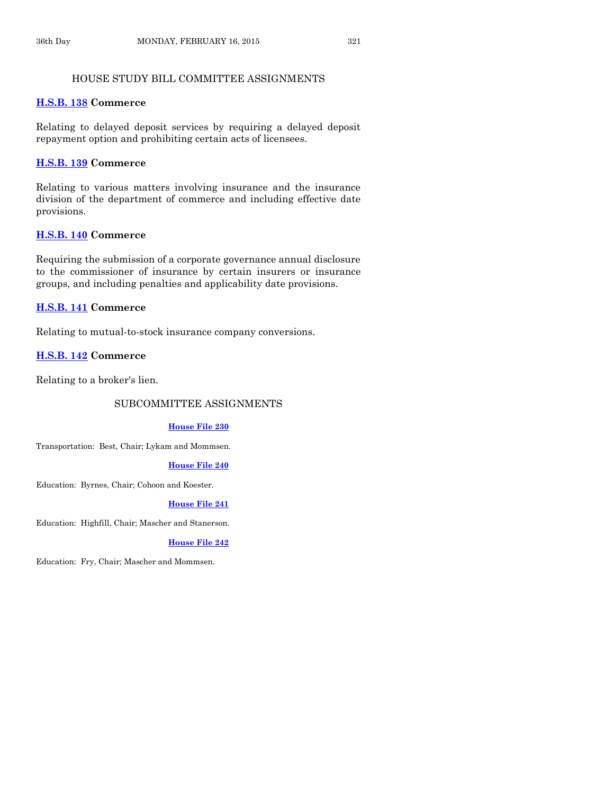#### HOUSE STUDY BILL COMMITTEE ASSIGNMENTS

#### **[H.S.B. 138](http://coolice.legis.iowa.gov/Cool-ICE/default.asp?Category=billinfo&Service=Billbook&frame=1&GA=86&hbill=HSB138) Commerce**

Relating to delayed deposit services by requiring a delayed deposit repayment option and prohibiting certain acts of licensees.

#### **[H.S.B. 139](http://coolice.legis.iowa.gov/Cool-ICE/default.asp?Category=billinfo&Service=Billbook&frame=1&GA=86&hbill=HSB139) Commerce**

Relating to various matters involving insurance and the insurance division of the department of commerce and including effective date provisions.

#### **[H.S.B. 140](http://coolice.legis.iowa.gov/Cool-ICE/default.asp?Category=billinfo&Service=Billbook&frame=1&GA=86&hbill=HSB140) Commerce**

Requiring the submission of a corporate governance annual disclosure to the commissioner of insurance by certain insurers or insurance groups, and including penalties and applicability date provisions.

#### **[H.S.B. 141](http://coolice.legis.iowa.gov/Cool-ICE/default.asp?Category=billinfo&Service=Billbook&frame=1&GA=86&hbill=HSB141) Commerce**

Relating to mutual-to-stock insurance company conversions.

#### **[H.S.B. 142](http://coolice.legis.iowa.gov/Cool-ICE/default.asp?Category=billinfo&Service=Billbook&frame=1&GA=86&hbill=HSB142) Commerce**

Relating to a broker's lien.

#### SUBCOMMITTEE ASSIGNMENTS

#### **[House File](http://coolice.legis.iowa.gov/Cool-ICE/default.asp?Category=billinfo&Service=Billbook&frame=1&GA=86&hbill=HF230) 230**

Transportation: Best, Chair; Lykam and Mommsen.

#### **[House File 240](http://coolice.legis.iowa.gov/Cool-ICE/default.asp?Category=billinfo&Service=Billbook&frame=1&GA=86&hbill=HF240)**

Education: Byrnes, Chair; Cohoon and Koester.

#### **[House File 241](http://coolice.legis.iowa.gov/Cool-ICE/default.asp?Category=billinfo&Service=Billbook&frame=1&GA=86&hbill=HF241)**

Education: Highfill, Chair; Mascher and Stanerson.

#### **[House File 242](http://coolice.legis.iowa.gov/Cool-ICE/default.asp?Category=billinfo&Service=Billbook&frame=1&GA=86&hbill=HF242)**

Education: Fry, Chair; Mascher and Mommsen.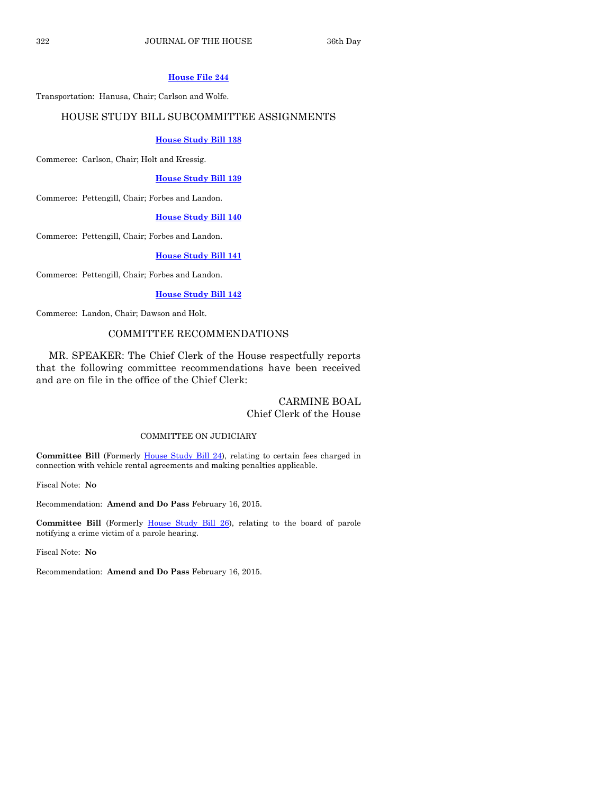#### **[House File 244](http://coolice.legis.iowa.gov/Cool-ICE/default.asp?Category=billinfo&Service=Billbook&frame=1&GA=86&hbill=HF244)**

Transportation: Hanusa, Chair; Carlson and Wolfe.

#### HOUSE STUDY BILL SUBCOMMITTEE ASSIGNMENTS

#### **[House Study Bill 138](http://coolice.legis.iowa.gov/Cool-ICE/default.asp?Category=billinfo&Service=Billbook&frame=1&GA=86&hbill=HSB138)**

Commerce: Carlson, Chair; Holt and Kressig.

#### **[House Study Bill 139](http://coolice.legis.iowa.gov/Cool-ICE/default.asp?Category=billinfo&Service=Billbook&frame=1&GA=86&hbill=HSB139)**

Commerce: Pettengill, Chair; Forbes and Landon.

#### **[House Study Bill 140](http://coolice.legis.iowa.gov/Cool-ICE/default.asp?Category=billinfo&Service=Billbook&frame=1&GA=86&hbill=HSB140)**

Commerce: Pettengill, Chair; Forbes and Landon.

#### **[House Study Bill 141](http://coolice.legis.iowa.gov/Cool-ICE/default.asp?Category=billinfo&Service=Billbook&frame=1&GA=86&hbill=HSB141)**

Commerce: Pettengill, Chair; Forbes and Landon.

#### **[House Study Bill 142](http://coolice.legis.iowa.gov/Cool-ICE/default.asp?Category=billinfo&Service=Billbook&frame=1&GA=86&hbill=HSB142)**

Commerce: Landon, Chair; Dawson and Holt.

#### COMMITTEE RECOMMENDATIONS

MR. SPEAKER: The Chief Clerk of the House respectfully reports that the following committee recommendations have been received and are on file in the office of the Chief Clerk:

#### CARMINE BOAL Chief Clerk of the House

#### COMMITTEE ON JUDICIARY

**Committee Bill** (Formerly [House Study Bill 24\)](http://coolice.legis.iowa.gov/Cool-ICE/default.asp?Category=billinfo&Service=Billbook&frame=1&GA=86&hbill=HSB24), relating to certain fees charged in connection with vehicle rental agreements and making penalties applicable.

Fiscal Note: **No**

Recommendation: **Amend and Do Pass** February 16, 2015.

Committee Bill (Formerly [House Study Bill 26\)](http://coolice.legis.iowa.gov/Cool-ICE/default.asp?Category=billinfo&Service=Billbook&frame=1&GA=86&hbill=HSB26), relating to the board of parole notifying a crime victim of a parole hearing.

Fiscal Note: **No**

Recommendation: **Amend and Do Pass** February 16, 2015.